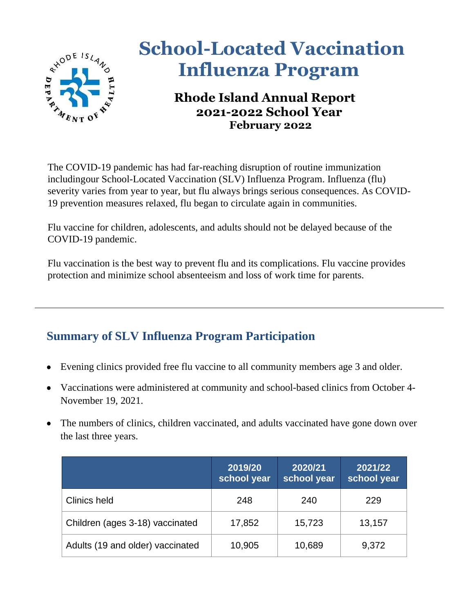

## **<u>School-Located Vaccination</u> Influenza Program**

## **Rhode Island Annual Report 2021-2022 School Year February 2022**

The COVID-19 pandemic has had far-reaching disruption of routine immunization includingour School-Located Vaccination (SLV) Influenza Program. Influenza (flu) severity varies from year to year, but flu always brings serious consequences. As COVID-19 prevention measures relaxed, flu began to circulate again in communities.

Flu vaccine for children, adolescents, and adults should not be delayed because of the COVID-19 pandemic.

Flu vaccination is the best way to prevent flu and its complications. Flu vaccine provides protection and minimize school absenteeism and loss of work time for parents.

## **Summary of SLV Influenza Program Participation**

- Evening clinics provided free flu vaccine to all community members age 3 and older.
- Vaccinations were administered at community and school-based clinics from October 4- November 19, 2021.
- The numbers of clinics, children vaccinated, and adults vaccinated have gone down over the last three years.

|                                  | 2019/20<br>school year | 2020/21<br>school year | 2021/22<br>school year |
|----------------------------------|------------------------|------------------------|------------------------|
| Clinics held                     | 248                    | 240                    | 229                    |
| Children (ages 3-18) vaccinated  | 17,852                 | 15,723                 | 13,157                 |
| Adults (19 and older) vaccinated | 10,905                 | 10,689                 | 9,372                  |